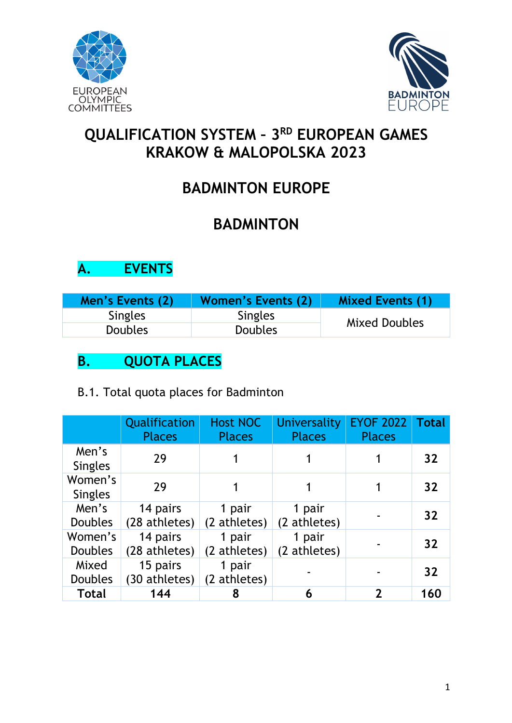



# **QUALIFICATION SYSTEM – 3RD EUROPEAN GAMES KRAKOW & MALOPOLSKA 2023**

# **BADMINTON EUROPE**

# **BADMINTON**

# **A. EVENTS**

| Men's Events (2) | <b>Women's Events (2)</b> | <b>Mixed Events (1)</b> |
|------------------|---------------------------|-------------------------|
| <b>Singles</b>   | <b>Singles</b>            |                         |
| <b>Doubles</b>   | <b>Doubles</b>            | Mixed Doubles           |

# **B. QUOTA PLACES**

|  |  |  |  |  | B.1. Total quota places for Badminton |
|--|--|--|--|--|---------------------------------------|
|--|--|--|--|--|---------------------------------------|

|                           | Qualification<br><b>Places</b> | <b>Host NOC</b><br><b>Places</b> | Universality<br><b>Places</b> | <b>EYOF 2022</b><br><b>Places</b> | <b>Total</b> |
|---------------------------|--------------------------------|----------------------------------|-------------------------------|-----------------------------------|--------------|
| Men's<br><b>Singles</b>   | 29                             |                                  |                               |                                   | 32           |
| Women's<br><b>Singles</b> | 29                             |                                  |                               |                                   | 32           |
| Men's<br><b>Doubles</b>   | 14 pairs<br>(28 athletes)      | 1 pair<br>(2 athletes)           | 1 pair<br>(2 athletes)        |                                   | 32           |
| Women's<br><b>Doubles</b> | 14 pairs<br>(28 athletes)      | 1 pair<br>(2 athletes)           | 1 pair<br>(2 athletes)        |                                   | 32           |
| Mixed<br><b>Doubles</b>   | 15 pairs<br>(30 athletes)      | 1 pair<br>(2 athletes)           |                               |                                   | 32           |
| <b>Total</b>              | 144                            | 8                                | 6                             |                                   | 160          |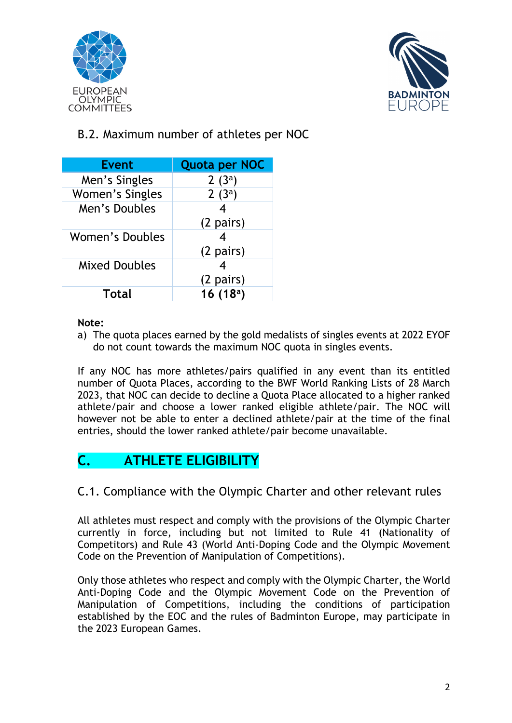



### B.2. Maximum number of athletes per NOC

| <b>Event</b>           | <b>Quota per NOC</b> |
|------------------------|----------------------|
| Men's Singles          | 2 $(3^a)$            |
| Women's Singles        | $2(3^a)$             |
| Men's Doubles          |                      |
|                        | $(2 \text{ pairs})$  |
| <b>Women's Doubles</b> |                      |
|                        | $(2 \text{ pairs})$  |
| <b>Mixed Doubles</b>   |                      |
|                        | $(2 \text{ pairs})$  |
| <b>Total</b>           | 16(18 <sup>a</sup> ) |

#### **Note:**

a) The quota places earned by the gold medalists of singles events at 2022 EYOF do not count towards the maximum NOC quota in singles events.

If any NOC has more athletes/pairs qualified in any event than its entitled number of Quota Places, according to the BWF World Ranking Lists of 28 March 2023, that NOC can decide to decline a Quota Place allocated to a higher ranked athlete/pair and choose a lower ranked eligible athlete/pair. The NOC will however not be able to enter a declined athlete/pair at the time of the final entries, should the lower ranked athlete/pair become unavailable.

# **C. ATHLETE ELIGIBILITY**

#### C.1. Compliance with the Olympic Charter and other relevant rules

All athletes must respect and comply with the provisions of the Olympic Charter currently in force, including but not limited to Rule 41 (Nationality of Competitors) and Rule 43 (World Anti-Doping Code and the Olympic Movement Code on the Prevention of Manipulation of Competitions).

Only those athletes who respect and comply with the Olympic Charter, the World Anti-Doping Code and the Olympic Movement Code on the Prevention of Manipulation of Competitions, including the conditions of participation established by the EOC and the rules of Badminton Europe, may participate in the 2023 European Games.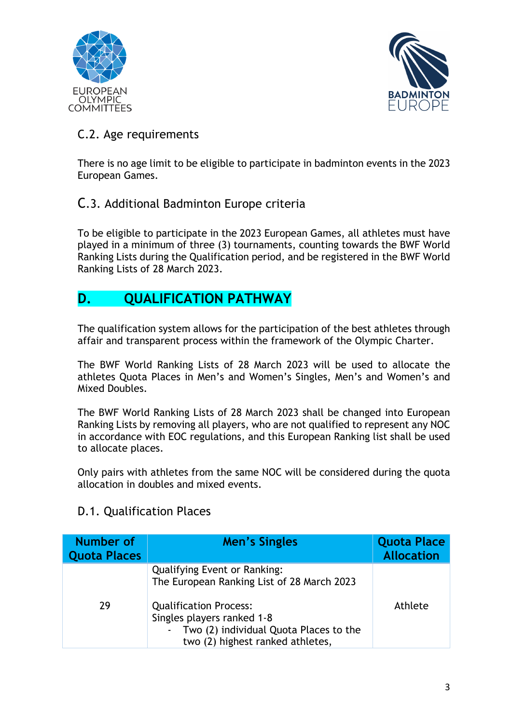



#### C.2. Age requirements

There is no age limit to be eligible to participate in badminton events in the 2023 European Games.

#### C.3. Additional Badminton Europe criteria

To be eligible to participate in the 2023 European Games, all athletes must have played in a minimum of three (3) tournaments, counting towards the BWF World Ranking Lists during the Qualification period, and be registered in the BWF World Ranking Lists of 28 March 2023.

# **D. QUALIFICATION PATHWAY**

The qualification system allows for the participation of the best athletes through affair and transparent process within the framework of the Olympic Charter.

The BWF World Ranking Lists of 28 March 2023 will be used to allocate the athletes Quota Places in Men's and Women's Singles, Men's and Women's and Mixed Doubles.

The BWF World Ranking Lists of 28 March 2023 shall be changed into European Ranking Lists by removing all players, who are not qualified to represent any NOC in accordance with EOC regulations, and this European Ranking list shall be used to allocate places.

Only pairs with athletes from the same NOC will be considered during the quota allocation in doubles and mixed events.

#### D.1. Qualification Places

| Number of<br><b>Quota Places</b> | Men's Singles                                                                                                                                                                                                                    | <b>Quota Place</b><br><b>Allocation</b> |
|----------------------------------|----------------------------------------------------------------------------------------------------------------------------------------------------------------------------------------------------------------------------------|-----------------------------------------|
| 29                               | <b>Qualifying Event or Ranking:</b><br>The European Ranking List of 28 March 2023<br><b>Qualification Process:</b><br>Singles players ranked 1-8<br>- Two (2) individual Quota Places to the<br>two (2) highest ranked athletes, | Athlete                                 |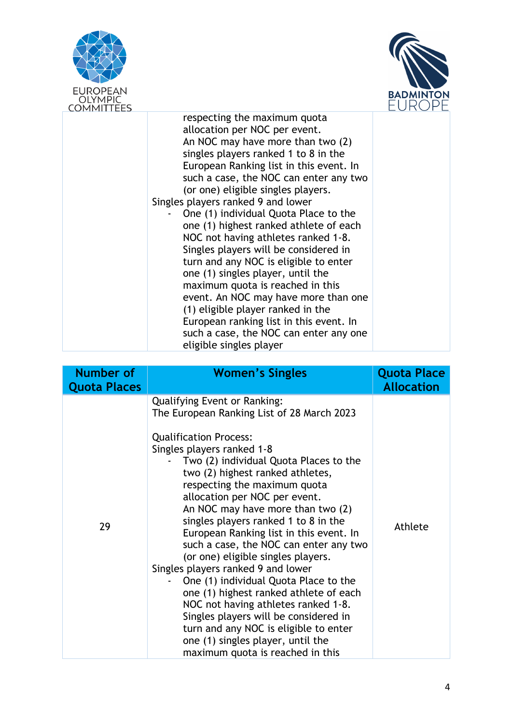



| <b>COMMITTEES</b> |                                                                                                                                                                                                                                                                                                                                                                                                                                                                                                                                                                                                                                                                                                                                                                                               |  |
|-------------------|-----------------------------------------------------------------------------------------------------------------------------------------------------------------------------------------------------------------------------------------------------------------------------------------------------------------------------------------------------------------------------------------------------------------------------------------------------------------------------------------------------------------------------------------------------------------------------------------------------------------------------------------------------------------------------------------------------------------------------------------------------------------------------------------------|--|
|                   | respecting the maximum quota<br>allocation per NOC per event.<br>An NOC may have more than two (2)<br>singles players ranked 1 to 8 in the<br>European Ranking list in this event. In<br>such a case, the NOC can enter any two<br>(or one) eligible singles players.<br>Singles players ranked 9 and lower<br>One (1) individual Quota Place to the<br>one (1) highest ranked athlete of each<br>NOC not having athletes ranked 1-8.<br>Singles players will be considered in<br>turn and any NOC is eligible to enter<br>one (1) singles player, until the<br>maximum quota is reached in this<br>event. An NOC may have more than one<br>(1) eligible player ranked in the<br>European ranking list in this event. In<br>such a case, the NOC can enter any one<br>eligible singles player |  |

| Number of<br><b>Quota Places</b> | <b>Women's Singles</b>                                                                                                                                                                                                                                                                                                                                                                                                                                                                                                                                                                                                                                                                                                                                                                                                             | <b>Quota Place</b><br><b>Allocation</b> |
|----------------------------------|------------------------------------------------------------------------------------------------------------------------------------------------------------------------------------------------------------------------------------------------------------------------------------------------------------------------------------------------------------------------------------------------------------------------------------------------------------------------------------------------------------------------------------------------------------------------------------------------------------------------------------------------------------------------------------------------------------------------------------------------------------------------------------------------------------------------------------|-----------------------------------------|
| 29                               | <b>Qualifying Event or Ranking:</b><br>The European Ranking List of 28 March 2023<br><b>Qualification Process:</b><br>Singles players ranked 1-8<br>Two (2) individual Quota Places to the<br>two (2) highest ranked athletes,<br>respecting the maximum quota<br>allocation per NOC per event.<br>An NOC may have more than two (2)<br>singles players ranked 1 to 8 in the<br>European Ranking list in this event. In<br>such a case, the NOC can enter any two<br>(or one) eligible singles players.<br>Singles players ranked 9 and lower<br>One (1) individual Quota Place to the<br>one (1) highest ranked athlete of each<br>NOC not having athletes ranked 1-8.<br>Singles players will be considered in<br>turn and any NOC is eligible to enter<br>one (1) singles player, until the<br>maximum quota is reached in this | Athlete                                 |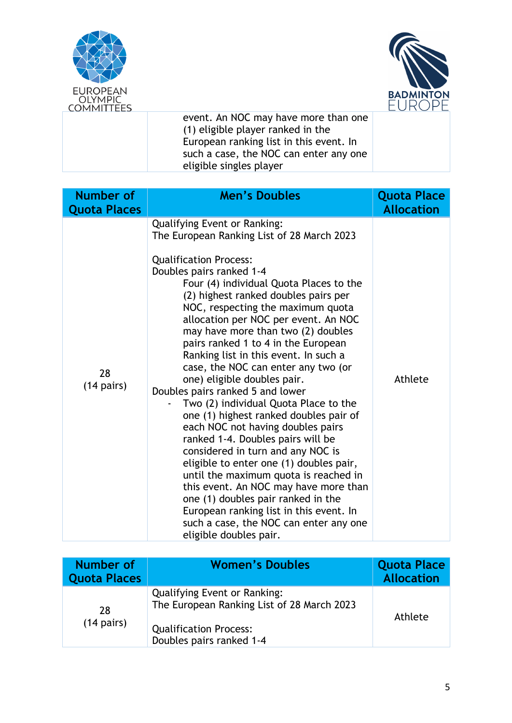



event. An NOC may have more than one (1) eligible player ranked in the European ranking list in this event. In such a case, the NOC can enter any one eligible singles player

| <b>Number of</b><br><b>Quota Places</b> | <b>Men's Doubles</b>                                                                                                                                                                                                                                                                                                                                                                                                                                                                                                                                                                                                                                                                                                                                                                                                                                                                                                                                                                                                               | <b>Quota Place</b><br><b>Allocation</b> |
|-----------------------------------------|------------------------------------------------------------------------------------------------------------------------------------------------------------------------------------------------------------------------------------------------------------------------------------------------------------------------------------------------------------------------------------------------------------------------------------------------------------------------------------------------------------------------------------------------------------------------------------------------------------------------------------------------------------------------------------------------------------------------------------------------------------------------------------------------------------------------------------------------------------------------------------------------------------------------------------------------------------------------------------------------------------------------------------|-----------------------------------------|
| 28<br>$(14 \text{ pairs})$              | <b>Qualifying Event or Ranking:</b><br>The European Ranking List of 28 March 2023<br><b>Qualification Process:</b><br>Doubles pairs ranked 1-4<br>Four (4) individual Quota Places to the<br>(2) highest ranked doubles pairs per<br>NOC, respecting the maximum quota<br>allocation per NOC per event. An NOC<br>may have more than two (2) doubles<br>pairs ranked 1 to 4 in the European<br>Ranking list in this event. In such a<br>case, the NOC can enter any two (or<br>one) eligible doubles pair.<br>Doubles pairs ranked 5 and lower<br>Two (2) individual Quota Place to the<br>one (1) highest ranked doubles pair of<br>each NOC not having doubles pairs<br>ranked 1-4. Doubles pairs will be<br>considered in turn and any NOC is<br>eligible to enter one (1) doubles pair,<br>until the maximum quota is reached in<br>this event. An NOC may have more than<br>one (1) doubles pair ranked in the<br>European ranking list in this event. In<br>such a case, the NOC can enter any one<br>eligible doubles pair. | Athlete                                 |

| <b>Number of</b><br><b>Quota Places</b> | <b>Women's Doubles</b>                                                                                                                         | <b>Quota Place</b><br><b>Allocation</b> |
|-----------------------------------------|------------------------------------------------------------------------------------------------------------------------------------------------|-----------------------------------------|
| 28<br>$(14 \text{ pairs})$              | <b>Qualifying Event or Ranking:</b><br>The European Ranking List of 28 March 2023<br><b>Qualification Process:</b><br>Doubles pairs ranked 1-4 | Athlete                                 |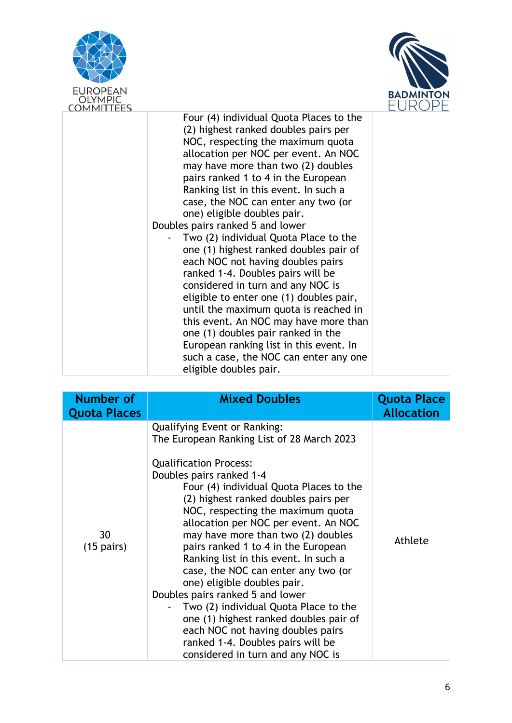



| Four (4) individual Quota Places to the<br>(2) highest ranked doubles pairs per<br>NOC, respecting the maximum quota<br>allocation per NOC per event. An NOC<br>may have more than two (2) doubles<br>pairs ranked 1 to 4 in the European<br>Ranking list in this event. In such a<br>case, the NOC can enter any two (or<br>one) eligible doubles pair.<br>Doubles pairs ranked 5 and lower<br>Two (2) individual Quota Place to the<br>one (1) highest ranked doubles pair of<br>each NOC not having doubles pairs<br>ranked 1-4. Doubles pairs will be<br>considered in turn and any NOC is<br>eligible to enter one (1) doubles pair,<br>until the maximum quota is reached in<br>this event. An NOC may have more than<br>one (1) doubles pair ranked in the<br>European ranking list in this event. In | ט וויוו וע<br><b>COMMITTEES</b> |                                        |  |
|--------------------------------------------------------------------------------------------------------------------------------------------------------------------------------------------------------------------------------------------------------------------------------------------------------------------------------------------------------------------------------------------------------------------------------------------------------------------------------------------------------------------------------------------------------------------------------------------------------------------------------------------------------------------------------------------------------------------------------------------------------------------------------------------------------------|---------------------------------|----------------------------------------|--|
| eligible doubles pair.                                                                                                                                                                                                                                                                                                                                                                                                                                                                                                                                                                                                                                                                                                                                                                                       |                                 | such a case, the NOC can enter any one |  |

| <b>Number of</b><br><b>Quota Places</b> | <b>Mixed Doubles</b>                                                                                                                                                                                                                                                                                                                                                                                                                                                                                                                                                                                                                                                                                                                             | <b>Quota Place</b><br><b>Allocation</b> |
|-----------------------------------------|--------------------------------------------------------------------------------------------------------------------------------------------------------------------------------------------------------------------------------------------------------------------------------------------------------------------------------------------------------------------------------------------------------------------------------------------------------------------------------------------------------------------------------------------------------------------------------------------------------------------------------------------------------------------------------------------------------------------------------------------------|-----------------------------------------|
| 30<br>$(15 \text{ pairs})$              | <b>Qualifying Event or Ranking:</b><br>The European Ranking List of 28 March 2023<br><b>Qualification Process:</b><br>Doubles pairs ranked 1-4<br>Four (4) individual Quota Places to the<br>(2) highest ranked doubles pairs per<br>NOC, respecting the maximum quota<br>allocation per NOC per event. An NOC<br>may have more than two (2) doubles<br>pairs ranked 1 to 4 in the European<br>Ranking list in this event. In such a<br>case, the NOC can enter any two (or<br>one) eligible doubles pair.<br>Doubles pairs ranked 5 and lower<br>Two (2) individual Quota Place to the<br>one (1) highest ranked doubles pair of<br>each NOC not having doubles pairs<br>ranked 1-4. Doubles pairs will be<br>considered in turn and any NOC is | Athlete                                 |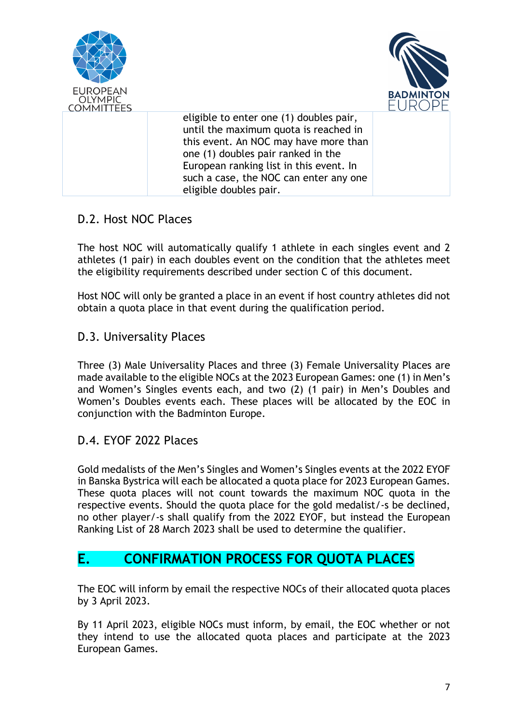

#### D.2. Host NOC Places

The host NOC will automatically qualify 1 athlete in each singles event and 2 athletes (1 pair) in each doubles event on the condition that the athletes meet the eligibility requirements described under section C of this document.

Host NOC will only be granted a place in an event if host country athletes did not obtain a quota place in that event during the qualification period.

#### D.3. Universality Places

Three (3) Male Universality Places and three (3) Female Universality Places are made available to the eligible NOCs at the 2023 European Games: one (1) in Men's and Women's Singles events each, and two (2) (1 pair) in Men's Doubles and Women's Doubles events each. These places will be allocated by the EOC in conjunction with the Badminton Europe.

### D.4. EYOF 2022 Places

Gold medalists of the Men's Singles and Women's Singles events at the 2022 EYOF in Banska Bystrica will each be allocated a quota place for 2023 European Games. These quota places will not count towards the maximum NOC quota in the respective events. Should the quota place for the gold medalist/-s be declined, no other player/-s shall qualify from the 2022 EYOF, but instead the European Ranking List of 28 March 2023 shall be used to determine the qualifier.

### **E. CONFIRMATION PROCESS FOR QUOTA PLACES**

The EOC will inform by email the respective NOCs of their allocated quota places by 3 April 2023.

By 11 April 2023, eligible NOCs must inform, by email, the EOC whether or not they intend to use the allocated quota places and participate at the 2023 European Games.